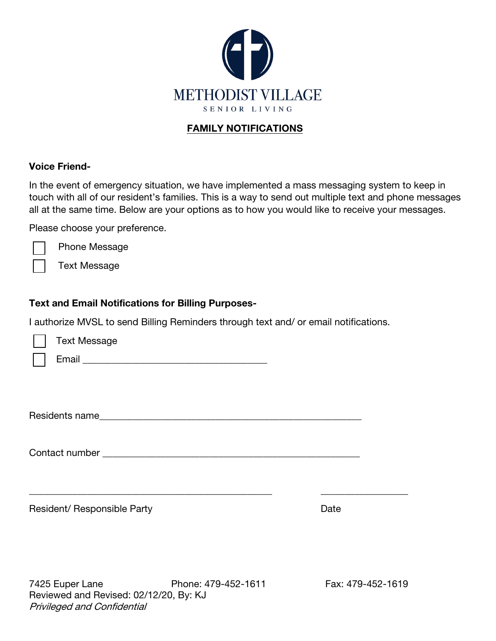

#### FAMILY NOTIFICATIONS

#### Voice Friend-

In the event of emergency situation, we have implemented a mass messaging system to keep in touch with all of our resident's families. This is a way to send out multiple text and phone messages all at the same time. Below are your options as to how you would like to receive your messages.

Please choose your preference.

Phone Message

Text Message

#### Text and Email Notifications for Billing Purposes-

I authorize MVSL to send Billing Reminders through text and/ or email notifications.

| Text Message |  |
|--------------|--|
| Email        |  |
|              |  |

Residents name\_\_\_\_\_\_\_\_\_\_\_\_\_\_\_\_\_\_\_\_\_\_\_\_\_\_\_\_\_\_\_\_\_\_\_\_\_\_\_\_\_\_\_\_\_\_\_\_\_\_\_\_\_\_

\_\_\_\_\_\_\_\_\_\_\_\_\_\_\_\_\_\_\_\_\_\_\_\_\_\_\_\_\_\_\_\_\_\_\_\_\_\_\_\_\_\_\_\_\_\_\_\_\_\_ \_\_\_\_\_\_\_\_\_\_\_\_\_\_\_\_\_\_

Contact number \_\_\_\_\_\_\_\_\_\_\_\_\_\_\_\_\_\_\_\_\_\_\_\_\_\_\_\_\_\_\_\_\_\_\_\_\_\_\_\_\_\_\_\_\_\_\_\_\_\_\_\_\_

| Resident/ Responsible Party | Date |
|-----------------------------|------|
|                             |      |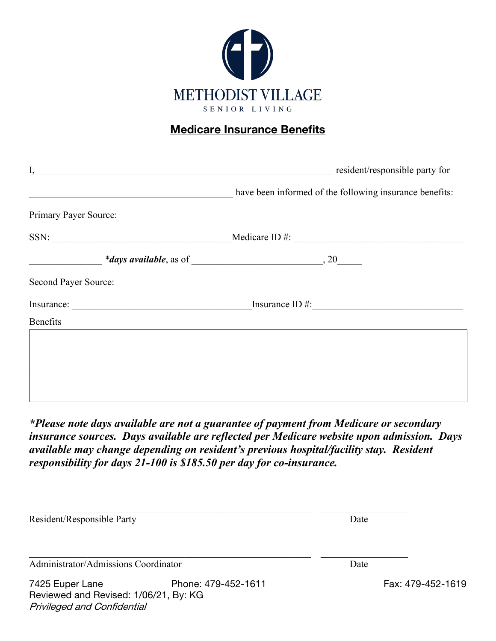

## Medicare Insurance Benefits

|                                                                                                                                                                                                                                                                                            | resident/responsible party for                                                                                   |
|--------------------------------------------------------------------------------------------------------------------------------------------------------------------------------------------------------------------------------------------------------------------------------------------|------------------------------------------------------------------------------------------------------------------|
|                                                                                                                                                                                                                                                                                            | have been informed of the following insurance benefits:                                                          |
| Primary Payer Source:                                                                                                                                                                                                                                                                      |                                                                                                                  |
|                                                                                                                                                                                                                                                                                            | $SSN:$ Medicare ID #:                                                                                            |
| $\frac{4}{3}$ and $\frac{4}{3}$ are available, as of $\frac{1}{3}$ and $\frac{1}{3}$ and $\frac{1}{3}$ are $\frac{1}{3}$ and $\frac{1}{3}$ and $\frac{1}{3}$ and $\frac{1}{3}$ are $\frac{1}{3}$ and $\frac{1}{3}$ are $\frac{1}{3}$ and $\frac{1}{3}$ are $\frac{1}{3}$ and $\frac{1}{3}$ |                                                                                                                  |
| Second Payer Source:                                                                                                                                                                                                                                                                       |                                                                                                                  |
|                                                                                                                                                                                                                                                                                            | Insurance ID $\#$ :                                                                                              |
| Benefits                                                                                                                                                                                                                                                                                   | and the control of the control of the control of the control of the control of the control of the control of the |
|                                                                                                                                                                                                                                                                                            |                                                                                                                  |
|                                                                                                                                                                                                                                                                                            |                                                                                                                  |
|                                                                                                                                                                                                                                                                                            |                                                                                                                  |
|                                                                                                                                                                                                                                                                                            |                                                                                                                  |

*\*Please note days available are not a guarantee of payment from Medicare or secondary insurance sources. Days available are reflected per Medicare website upon admission. Days available may change depending on resident's previous hospital/facility stay. Resident responsibility for days 21-100 is \$185.50 per day for co-insurance.*

| Resident/Responsible Party                                                                     |                     | Date |                   |
|------------------------------------------------------------------------------------------------|---------------------|------|-------------------|
| Administrator/Admissions Coordinator                                                           |                     | Date |                   |
| 7425 Euper Lane<br>Reviewed and Revised: 1/06/21, By: KG<br><b>Privileged and Confidential</b> | Phone: 479-452-1611 |      | Fax: 479-452-1619 |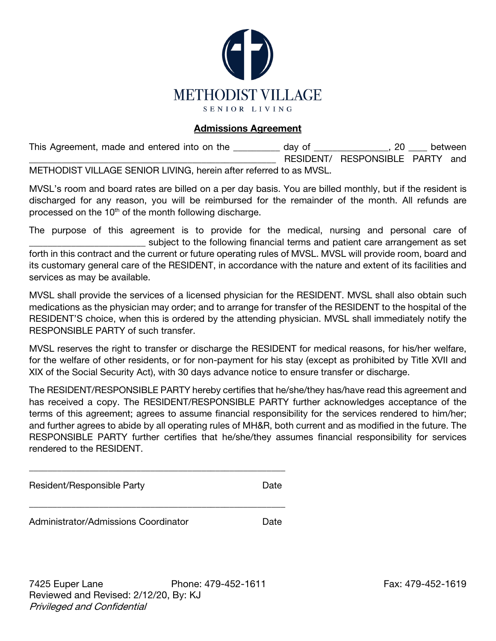

#### Admissions Agreement

This Agreement, made and entered into on the \_\_\_\_\_\_\_\_\_ day of \_\_\_\_\_\_\_\_\_\_\_\_\_\_, 20 \_\_\_\_ between RESIDENT/ RESPONSIBLE PARTY and METHODIST VILLAGE SENIOR LIVING, herein after referred to as MVSL.

MVSL's room and board rates are billed on a per day basis. You are billed monthly, but if the resident is discharged for any reason, you will be reimbursed for the remainder of the month. All refunds are processed on the  $10<sup>th</sup>$  of the month following discharge.

The purpose of this agreement is to provide for the medical, nursing and personal care of \_\_\_\_\_\_\_\_\_\_\_\_\_\_\_\_\_\_\_\_\_\_\_\_\_ subject to the following financial terms and patient care arrangement as set forth in this contract and the current or future operating rules of MVSL. MVSL will provide room, board and its customary general care of the RESIDENT, in accordance with the nature and extent of its facilities and services as may be available.

MVSL shall provide the services of a licensed physician for the RESIDENT. MVSL shall also obtain such medications as the physician may order; and to arrange for transfer of the RESIDENT to the hospital of the RESIDENT'S choice, when this is ordered by the attending physician. MVSL shall immediately notify the RESPONSIBLE PARTY of such transfer.

MVSL reserves the right to transfer or discharge the RESIDENT for medical reasons, for his/her welfare, for the welfare of other residents, or for non-payment for his stay (except as prohibited by Title XVII and XIX of the Social Security Act), with 30 days advance notice to ensure transfer or discharge.

The RESIDENT/RESPONSIBLE PARTY hereby certifies that he/she/they has/have read this agreement and has received a copy. The RESIDENT/RESPONSIBLE PARTY further acknowledges acceptance of the terms of this agreement; agrees to assume financial responsibility for the services rendered to him/her; and further agrees to abide by all operating rules of MH&R, both current and as modified in the future. The RESPONSIBLE PARTY further certifies that he/she/they assumes financial responsibility for services rendered to the RESIDENT.

Resident/Responsible Party **Date** 

Administrator/Admissions Coordinator **Date** 

\_\_\_\_\_\_\_\_\_\_\_\_\_\_\_\_\_\_\_\_\_\_\_\_\_\_\_\_\_\_\_\_\_\_\_\_\_\_\_\_\_\_\_\_\_\_\_\_\_\_\_\_\_\_\_

\_\_\_\_\_\_\_\_\_\_\_\_\_\_\_\_\_\_\_\_\_\_\_\_\_\_\_\_\_\_\_\_\_\_\_\_\_\_\_\_\_\_\_\_\_\_\_\_\_\_\_\_\_\_\_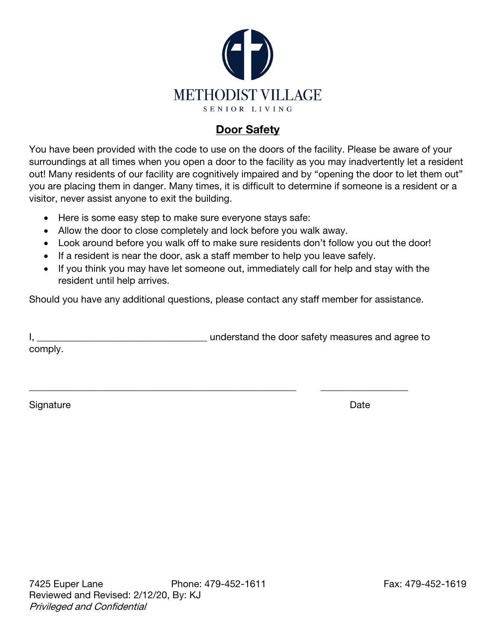

### Door Safety

You have been provided with the code to use on the doors of the facility. Please be aware of your surroundings at all times when you open a door to the facility as you may inadvertently let a resident out! Many residents of our facility are cognitively impaired and by "opening the door to let them out" you are placing them in danger. Many times, it is difficult to determine if someone is a resident or a visitor, never assist anyone to exit the building.

- Here is some easy step to make sure everyone stays safe:
- Allow the door to close completely and lock before you walk away.
- Look around before you walk off to make sure residents don't follow you out the door!
- If a resident is near the door, ask a staff member to help you leave safely.
- If you think you may have let someone out, immediately call for help and stay with the resident until help arrives.

Should you have any additional questions, please contact any staff member for assistance.

I, \_\_\_\_\_\_\_\_\_\_\_\_\_\_\_\_\_\_\_\_\_\_\_\_\_\_\_\_\_\_\_\_\_\_\_ understand the door safety measures and agree to comply.

\_\_\_\_\_\_\_\_\_\_\_\_\_\_\_\_\_\_\_\_\_\_\_\_\_\_\_\_\_\_\_\_\_\_\_\_\_\_\_\_\_\_\_\_\_\_\_\_\_\_\_\_\_\_\_ \_\_\_\_\_\_\_\_\_\_\_\_\_\_\_\_\_\_

Signature Date **Date**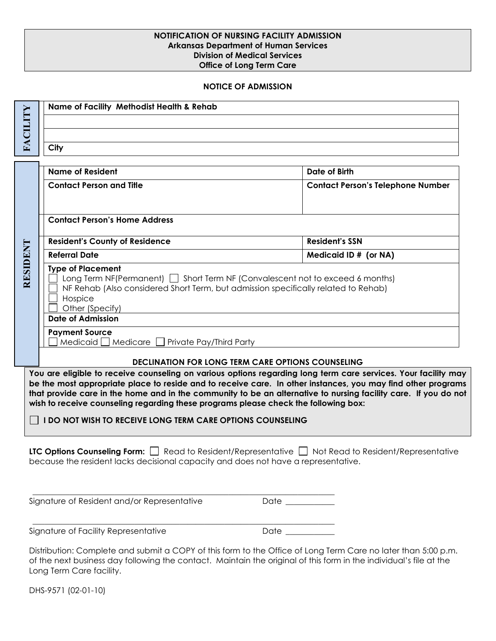#### **NOTIFICATION OF NURSING FACILITY ADMISSION Arkansas Department of Human Services Division of Medical Services Office of Long Term Care**

#### **NOTICE OF ADMISSION**

|                                                                                                                                                                                                                                                                                                                                                                                                                                                                                                               | <b>Name of Facility Methodist Health &amp; Rehab</b>                                                                                                                                                                                           |                                                                                                                                                                                                                                     |  |  |  |  |
|---------------------------------------------------------------------------------------------------------------------------------------------------------------------------------------------------------------------------------------------------------------------------------------------------------------------------------------------------------------------------------------------------------------------------------------------------------------------------------------------------------------|------------------------------------------------------------------------------------------------------------------------------------------------------------------------------------------------------------------------------------------------|-------------------------------------------------------------------------------------------------------------------------------------------------------------------------------------------------------------------------------------|--|--|--|--|
| FACILITY                                                                                                                                                                                                                                                                                                                                                                                                                                                                                                      |                                                                                                                                                                                                                                                |                                                                                                                                                                                                                                     |  |  |  |  |
|                                                                                                                                                                                                                                                                                                                                                                                                                                                                                                               | City                                                                                                                                                                                                                                           |                                                                                                                                                                                                                                     |  |  |  |  |
|                                                                                                                                                                                                                                                                                                                                                                                                                                                                                                               |                                                                                                                                                                                                                                                |                                                                                                                                                                                                                                     |  |  |  |  |
|                                                                                                                                                                                                                                                                                                                                                                                                                                                                                                               | <b>Name of Resident</b>                                                                                                                                                                                                                        | Date of Birth                                                                                                                                                                                                                       |  |  |  |  |
|                                                                                                                                                                                                                                                                                                                                                                                                                                                                                                               | <b>Contact Person and Title</b>                                                                                                                                                                                                                | <b>Contact Person's Telephone Number</b>                                                                                                                                                                                            |  |  |  |  |
|                                                                                                                                                                                                                                                                                                                                                                                                                                                                                                               |                                                                                                                                                                                                                                                |                                                                                                                                                                                                                                     |  |  |  |  |
|                                                                                                                                                                                                                                                                                                                                                                                                                                                                                                               | <b>Contact Person's Home Address</b>                                                                                                                                                                                                           |                                                                                                                                                                                                                                     |  |  |  |  |
|                                                                                                                                                                                                                                                                                                                                                                                                                                                                                                               | <b>Resident's County of Residence</b>                                                                                                                                                                                                          | <b>Resident's SSN</b>                                                                                                                                                                                                               |  |  |  |  |
|                                                                                                                                                                                                                                                                                                                                                                                                                                                                                                               | <b>Referral Date</b>                                                                                                                                                                                                                           | Medicaid ID # (or NA)                                                                                                                                                                                                               |  |  |  |  |
|                                                                                                                                                                                                                                                                                                                                                                                                                                                                                                               | RESIDENT<br><b>Type of Placement</b><br>Long Term NF(Permanent) $\Box$ Short Term NF (Convalescent not to exceed 6 months)<br>NF Rehab (Also considered Short Term, but admission specifically related to Rehab)<br>Hospice<br>Other (Specify) |                                                                                                                                                                                                                                     |  |  |  |  |
|                                                                                                                                                                                                                                                                                                                                                                                                                                                                                                               | <b>Date of Admission</b>                                                                                                                                                                                                                       |                                                                                                                                                                                                                                     |  |  |  |  |
|                                                                                                                                                                                                                                                                                                                                                                                                                                                                                                               | <b>Payment Source</b><br>Medicaid   Medicare   Private Pay/Third Party                                                                                                                                                                         |                                                                                                                                                                                                                                     |  |  |  |  |
|                                                                                                                                                                                                                                                                                                                                                                                                                                                                                                               |                                                                                                                                                                                                                                                | <b>DECLINATION FOR LONG TERM CARE OPTIONS COUNSELING</b>                                                                                                                                                                            |  |  |  |  |
| You are eligible to receive counseling on various options regarding long term care services. Your facility may<br>be the most appropriate place to reside and to receive care. In other instances, you may find other programs<br>that provide care in the home and in the community to be an alternative to nursing facility care. If you do not<br>wish to receive counseling regarding these programs please check the following box:<br><b>I DO NOT WISH TO RECEIVE LONG TERM CARE OPTIONS COUNSELING</b> |                                                                                                                                                                                                                                                |                                                                                                                                                                                                                                     |  |  |  |  |
| LTC Options Counseling Form: $\Box$ Read to Resident/Representative $\Box$ Not Read to Resident/Representative<br>because the resident lacks decisional capacity and does not have a representative.                                                                                                                                                                                                                                                                                                          |                                                                                                                                                                                                                                                |                                                                                                                                                                                                                                     |  |  |  |  |
|                                                                                                                                                                                                                                                                                                                                                                                                                                                                                                               | Signature of Resident and/or Representative                                                                                                                                                                                                    | Date _________                                                                                                                                                                                                                      |  |  |  |  |
|                                                                                                                                                                                                                                                                                                                                                                                                                                                                                                               | Signature of Facility Representative                                                                                                                                                                                                           | Date ___________                                                                                                                                                                                                                    |  |  |  |  |
|                                                                                                                                                                                                                                                                                                                                                                                                                                                                                                               | Long Term Care facility.                                                                                                                                                                                                                       | Distribution: Complete and submit a COPY of this form to the Office of Long Term Care no later than 5:00 p.m.<br>of the next business day following the contact. Maintain the original of this form in the individual's file at the |  |  |  |  |
|                                                                                                                                                                                                                                                                                                                                                                                                                                                                                                               | DHS-9571 (02-01-10)                                                                                                                                                                                                                            |                                                                                                                                                                                                                                     |  |  |  |  |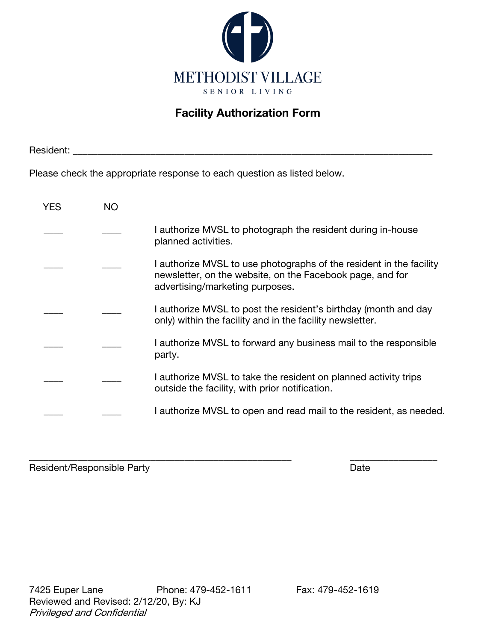

## Facility Authorization Form

Resident: \_\_\_\_\_\_\_\_\_\_\_\_\_\_\_\_\_\_\_\_\_\_\_\_\_\_\_\_\_\_\_\_\_\_\_\_\_\_\_\_\_\_\_\_\_\_\_\_\_\_\_\_\_\_\_\_\_\_\_\_\_\_\_\_\_\_\_\_\_\_\_\_\_\_

Please check the appropriate response to each question as listed below.

| YES | NΟ |                                                                                                                                                                     |
|-----|----|---------------------------------------------------------------------------------------------------------------------------------------------------------------------|
|     |    | I authorize MVSL to photograph the resident during in-house<br>planned activities.                                                                                  |
|     |    | I authorize MVSL to use photographs of the resident in the facility<br>newsletter, on the website, on the Facebook page, and for<br>advertising/marketing purposes. |
|     |    | I authorize MVSL to post the resident's birthday (month and day<br>only) within the facility and in the facility newsletter.                                        |
|     |    | I authorize MVSL to forward any business mail to the responsible<br>party.                                                                                          |
|     |    | I authorize MVSL to take the resident on planned activity trips<br>outside the facility, with prior notification.                                                   |
|     |    | I authorize MVSL to open and read mail to the resident, as needed.                                                                                                  |

\_\_\_\_\_\_\_\_\_\_\_\_\_\_\_\_\_\_\_\_\_\_\_\_\_\_\_\_\_\_\_\_\_\_\_\_\_\_\_\_\_\_\_\_\_\_\_\_\_\_\_\_\_\_ \_\_\_\_\_\_\_\_\_\_\_\_\_\_\_\_\_\_ Resident/Responsible Party **Date Date** Date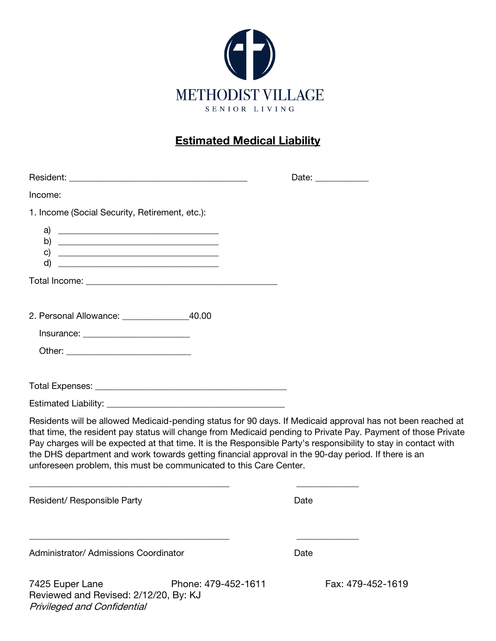

# Estimated Medical Liability

|                                                                                                                                                                                                                                                                                                                                                                                                                                                                                                                              |                     | Date: ______________ |                   |
|------------------------------------------------------------------------------------------------------------------------------------------------------------------------------------------------------------------------------------------------------------------------------------------------------------------------------------------------------------------------------------------------------------------------------------------------------------------------------------------------------------------------------|---------------------|----------------------|-------------------|
| Income:                                                                                                                                                                                                                                                                                                                                                                                                                                                                                                                      |                     |                      |                   |
| 1. Income (Social Security, Retirement, etc.):                                                                                                                                                                                                                                                                                                                                                                                                                                                                               |                     |                      |                   |
| a)<br>d)                                                                                                                                                                                                                                                                                                                                                                                                                                                                                                                     |                     |                      |                   |
|                                                                                                                                                                                                                                                                                                                                                                                                                                                                                                                              |                     |                      |                   |
| 2. Personal Allowance: _______________________40.00                                                                                                                                                                                                                                                                                                                                                                                                                                                                          |                     |                      |                   |
|                                                                                                                                                                                                                                                                                                                                                                                                                                                                                                                              |                     |                      |                   |
|                                                                                                                                                                                                                                                                                                                                                                                                                                                                                                                              |                     |                      |                   |
| Residents will be allowed Medicaid-pending status for 90 days. If Medicaid approval has not been reached at<br>that time, the resident pay status will change from Medicaid pending to Private Pay. Payment of those Private<br>Pay charges will be expected at that time. It is the Responsible Party's responsibility to stay in contact with<br>the DHS department and work towards getting financial approval in the 90-day period. If there is an<br>unforeseen problem, this must be communicated to this Care Center. |                     |                      |                   |
| Resident/ Responsible Party                                                                                                                                                                                                                                                                                                                                                                                                                                                                                                  |                     | Date                 |                   |
| Administrator/ Admissions Coordinator                                                                                                                                                                                                                                                                                                                                                                                                                                                                                        |                     | Date                 |                   |
| 7425 Euper Lane                                                                                                                                                                                                                                                                                                                                                                                                                                                                                                              | Phone: 479-452-1611 |                      | Fax: 479-452-1619 |

Reviewed and Revised: 2/12/20, By: KJ

Privileged and Confidential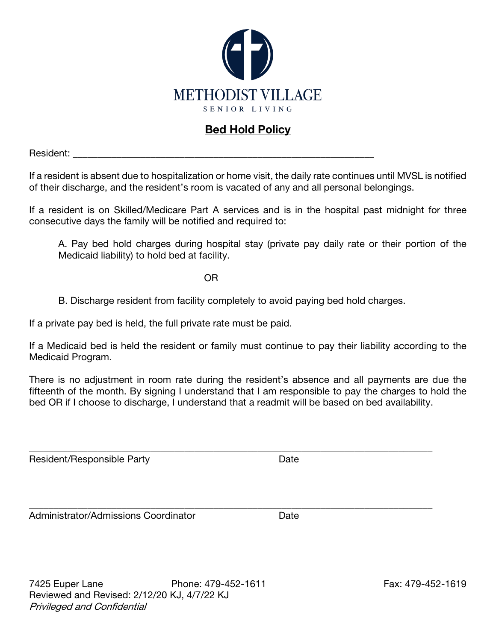

# Bed Hold Policy

Resident:

If a resident is absent due to hospitalization or home visit, the daily rate continues until MVSL is notified of their discharge, and the resident's room is vacated of any and all personal belongings.

If a resident is on Skilled/Medicare Part A services and is in the hospital past midnight for three consecutive days the family will be notified and required to:

A. Pay bed hold charges during hospital stay (private pay daily rate or their portion of the Medicaid liability) to hold bed at facility.

OR

B. Discharge resident from facility completely to avoid paying bed hold charges.

If a private pay bed is held, the full private rate must be paid.

If a Medicaid bed is held the resident or family must continue to pay their liability according to the Medicaid Program.

There is no adjustment in room rate during the resident's absence and all payments are due the fifteenth of the month. By signing I understand that I am responsible to pay the charges to hold the bed OR if I choose to discharge, I understand that a readmit will be based on bed availability.

\_\_\_\_\_\_\_\_\_\_\_\_\_\_\_\_\_\_\_\_\_\_\_\_\_\_\_\_\_\_\_\_\_\_\_\_\_\_\_\_\_\_\_\_\_\_\_\_\_\_\_\_\_\_\_\_\_\_\_\_\_\_\_\_\_\_\_\_\_\_\_\_\_\_\_\_\_\_\_\_\_\_\_

\_\_\_\_\_\_\_\_\_\_\_\_\_\_\_\_\_\_\_\_\_\_\_\_\_\_\_\_\_\_\_\_\_\_\_\_\_\_\_\_\_\_\_\_\_\_\_\_\_\_\_\_\_\_\_\_\_\_\_\_\_\_\_\_\_\_\_\_\_\_\_\_\_\_\_\_\_\_\_\_\_\_\_

Resident/Responsible Party **Date** Date

Administrator/Admissions Coordinator **National Strutter Containstrator** Date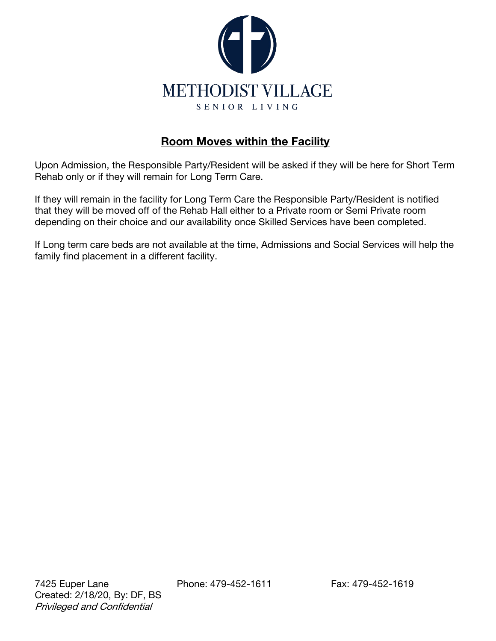

### Room Moves within the Facility

Upon Admission, the Responsible Party/Resident will be asked if they will be here for Short Term Rehab only or if they will remain for Long Term Care.

If they will remain in the facility for Long Term Care the Responsible Party/Resident is notified that they will be moved off of the Rehab Hall either to a Private room or Semi Private room depending on their choice and our availability once Skilled Services have been completed.

If Long term care beds are not available at the time, Admissions and Social Services will help the family find placement in a different facility.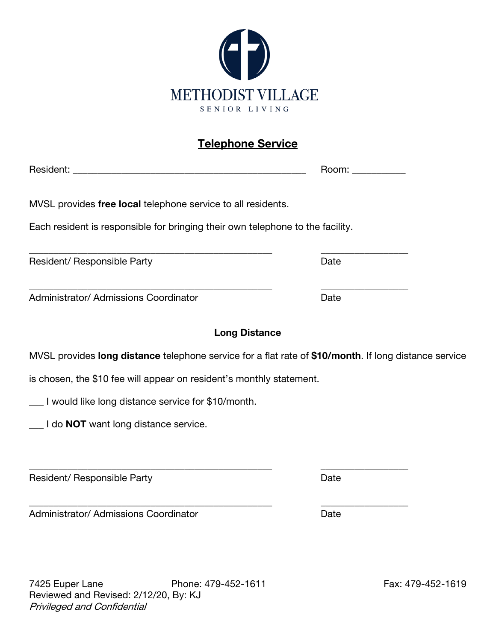

# Telephone Service

|                                                                                                       | Room: ___________ |
|-------------------------------------------------------------------------------------------------------|-------------------|
| MVSL provides free local telephone service to all residents.                                          |                   |
| Each resident is responsible for bringing their own telephone to the facility.                        |                   |
| Resident/ Responsible Party                                                                           | Date              |
| Administrator/ Admissions Coordinator                                                                 | Date              |
| <b>Long Distance</b>                                                                                  |                   |
| MVSL provides long distance telephone service for a flat rate of \$10/month. If long distance service |                   |
| is chosen, the \$10 fee will appear on resident's monthly statement.                                  |                   |
| __ I would like long distance service for \$10/month.                                                 |                   |
| ___ I do <b>NOT</b> want long distance service.                                                       |                   |
| Resident/ Responsible Party                                                                           | Date              |
| Administrator/ Admissions Coordinator                                                                 | Date              |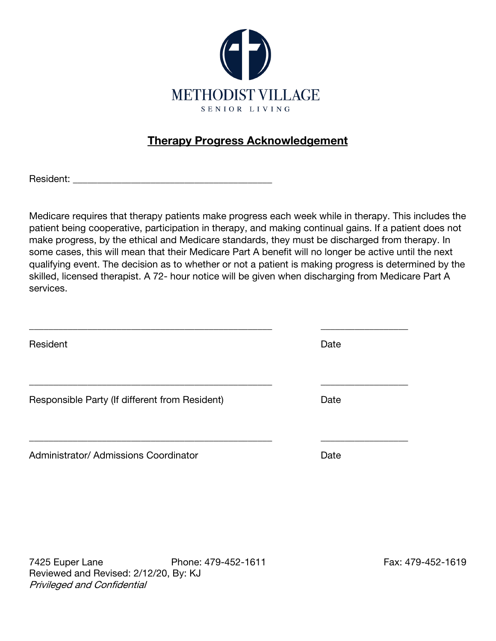

# Therapy Progress Acknowledgement

Resident:

Medicare requires that therapy patients make progress each week while in therapy. This includes the patient being cooperative, participation in therapy, and making continual gains. If a patient does not make progress, by the ethical and Medicare standards, they must be discharged from therapy. In some cases, this will mean that their Medicare Part A benefit will no longer be active until the next qualifying event. The decision as to whether or not a patient is making progress is determined by the skilled, licensed therapist. A 72- hour notice will be given when discharging from Medicare Part A services.

| Resident                                       | Date |
|------------------------------------------------|------|
|                                                |      |
| Responsible Party (If different from Resident) | Date |
|                                                |      |
| Administrator/ Admissions Coordinator          | Date |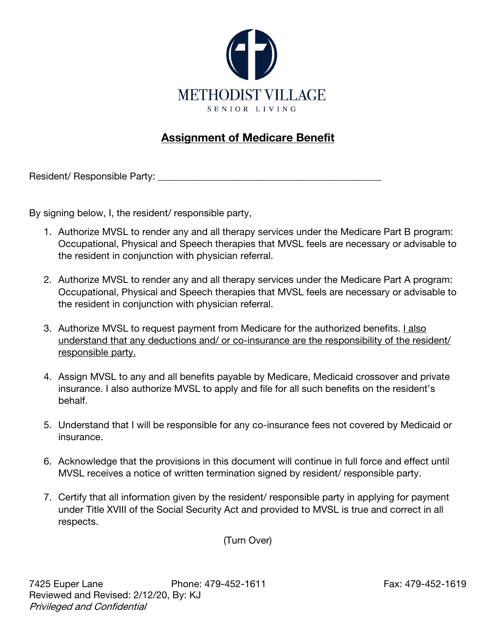

## Assignment of Medicare Benefit

Resident/ Responsible Party: \_\_\_\_\_\_\_\_\_\_\_\_\_\_\_\_\_\_\_\_\_\_\_\_\_\_\_\_\_\_\_\_\_\_\_\_\_\_\_\_\_\_\_\_\_\_

By signing below, I, the resident/ responsible party,

- 1. Authorize MVSL to render any and all therapy services under the Medicare Part B program: Occupational, Physical and Speech therapies that MVSL feels are necessary or advisable to the resident in conjunction with physician referral.
- 2. Authorize MVSL to render any and all therapy services under the Medicare Part A program: Occupational, Physical and Speech therapies that MVSL feels are necessary or advisable to the resident in conjunction with physician referral.
- 3. Authorize MVSL to request payment from Medicare for the authorized benefits. I also understand that any deductions and/ or co-insurance are the responsibility of the resident/ responsible party.
- 4. Assign MVSL to any and all benefits payable by Medicare, Medicaid crossover and private insurance. I also authorize MVSL to apply and file for all such benefits on the resident's behalf.
- 5. Understand that I will be responsible for any co-insurance fees not covered by Medicaid or insurance.
- 6. Acknowledge that the provisions in this document will continue in full force and effect until MVSL receives a notice of written termination signed by resident/ responsible party.
- 7. Certify that all information given by the resident/ responsible party in applying for payment under Title XVIII of the Social Security Act and provided to MVSL is true and correct in all respects.

(Turn Over)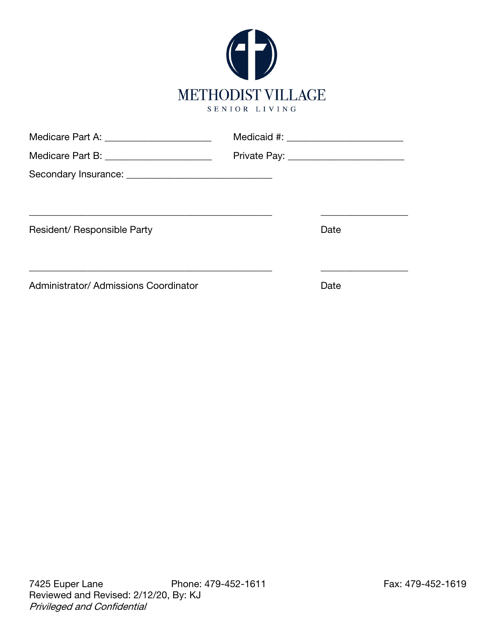

| Medicare Part A: _______________________     |                                          |
|----------------------------------------------|------------------------------------------|
| Medicare Part B: ________________________    | Private Pay: ___________________________ |
|                                              |                                          |
|                                              |                                          |
|                                              |                                          |
| Resident/ Responsible Party                  | Date                                     |
|                                              |                                          |
|                                              |                                          |
| <b>Administrator/ Admissions Coordinator</b> | Date                                     |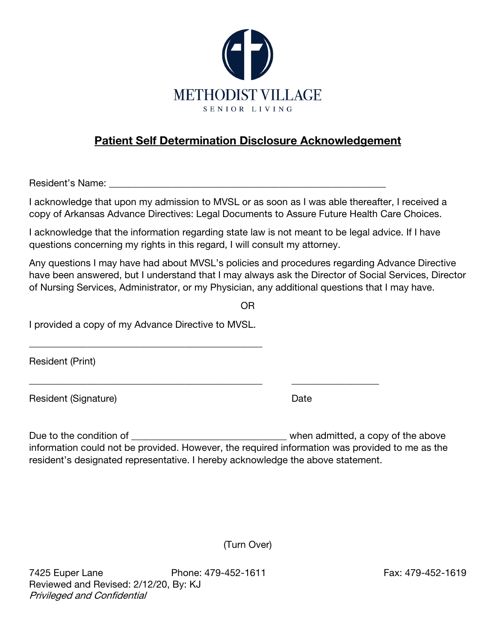

## Patient Self Determination Disclosure Acknowledgement

Resident's Name: <u>Die version in die version van die version</u> van die version van die version van die version van die version van die version van die version van die version van die version van die version van die version

I acknowledge that upon my admission to MVSL or as soon as I was able thereafter, I received a copy of Arkansas Advance Directives: Legal Documents to Assure Future Health Care Choices.

I acknowledge that the information regarding state law is not meant to be legal advice. If I have questions concerning my rights in this regard, I will consult my attorney.

Any questions I may have had about MVSL's policies and procedures regarding Advance Directive have been answered, but I understand that I may always ask the Director of Social Services, Director of Nursing Services, Administrator, or my Physician, any additional questions that I may have.

OR

I provided a copy of my Advance Directive to MVSL.

\_\_\_\_\_\_\_\_\_\_\_\_\_\_\_\_\_\_\_\_\_\_\_\_\_\_\_\_\_\_\_\_\_\_\_\_\_\_\_\_\_\_\_\_\_\_\_\_

Resident (Print)

Resident (Signature) Date

Due to the condition of \_\_\_\_\_\_\_\_\_\_\_\_\_\_\_\_\_\_\_\_\_\_\_\_\_\_\_\_\_\_\_\_ when admitted, a copy of the above information could not be provided. However, the required information was provided to me as the resident's designated representative. I hereby acknowledge the above statement.

\_\_\_\_\_\_\_\_\_\_\_\_\_\_\_\_\_\_\_\_\_\_\_\_\_\_\_\_\_\_\_\_\_\_\_\_\_\_\_\_\_\_\_\_\_\_\_\_ \_\_\_\_\_\_\_\_\_\_\_\_\_\_\_\_\_\_

(Turn Over)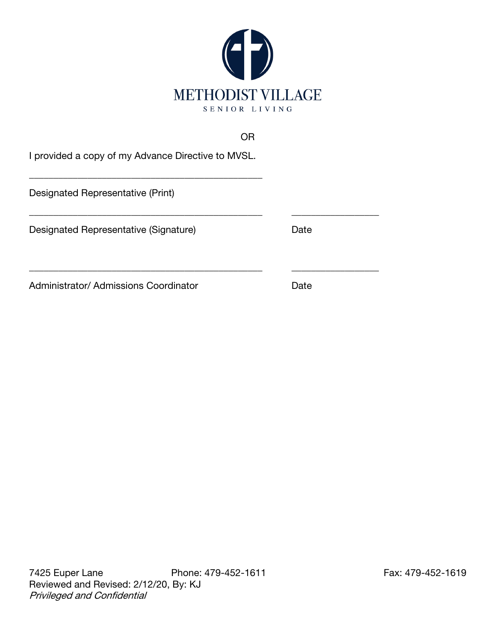

#### OR

\_\_\_\_\_\_\_\_\_\_\_\_\_\_\_\_\_\_\_\_\_\_\_\_\_\_\_\_\_\_\_\_\_\_\_\_\_\_\_\_\_\_\_\_\_\_\_\_ \_\_\_\_\_\_\_\_\_\_\_\_\_\_\_\_\_\_

I provided a copy of my Advance Directive to MVSL.

\_\_\_\_\_\_\_\_\_\_\_\_\_\_\_\_\_\_\_\_\_\_\_\_\_\_\_\_\_\_\_\_\_\_\_\_\_\_\_\_\_\_\_\_\_\_\_\_

Designated Representative (Print)

Designated Representative (Signature) Date

Administrator/ Admissions Coordinator **Date** 

\_\_\_\_\_\_\_\_\_\_\_\_\_\_\_\_\_\_\_\_\_\_\_\_\_\_\_\_\_\_\_\_\_\_\_\_\_\_\_\_\_\_\_\_\_\_\_\_ \_\_\_\_\_\_\_\_\_\_\_\_\_\_\_\_\_\_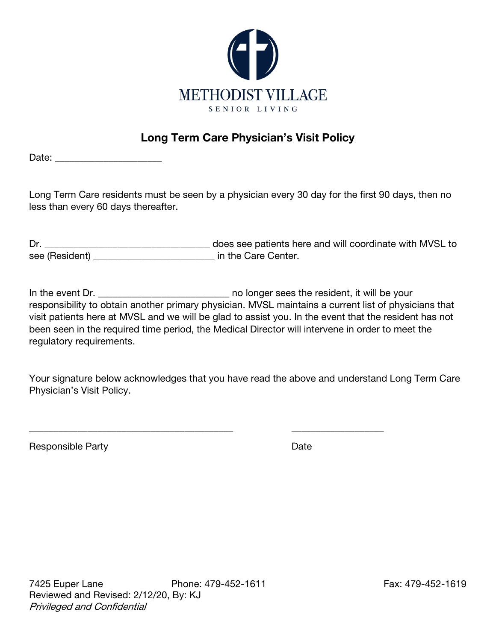

## Long Term Care Physician's Visit Policy

Date: \_\_\_\_\_\_\_\_\_\_\_\_\_\_\_\_\_\_\_\_\_\_

Long Term Care residents must be seen by a physician every 30 day for the first 90 days, then no less than every 60 days thereafter.

Dr. \_\_\_\_\_\_\_\_\_\_\_\_\_\_\_\_\_\_\_\_\_\_\_\_\_\_\_\_\_\_\_\_\_\_ does see patients here and will coordinate with MVSL to see (Resident) \_\_\_\_\_\_\_\_\_\_\_\_\_\_\_\_\_\_\_\_\_\_\_\_\_\_\_\_ in the Care Center.

In the event Dr. \_\_\_\_\_\_\_\_\_\_\_\_\_\_\_\_\_\_\_\_\_\_\_\_\_\_\_\_\_\_\_\_\_ no longer sees the resident, it will be your responsibility to obtain another primary physician. MVSL maintains a current list of physicians that visit patients here at MVSL and we will be glad to assist you. In the event that the resident has not been seen in the required time period, the Medical Director will intervene in order to meet the regulatory requirements.

Your signature below acknowledges that you have read the above and understand Long Term Care Physician's Visit Policy.

\_\_\_\_\_\_\_\_\_\_\_\_\_\_\_\_\_\_\_\_\_\_\_\_\_\_\_\_\_\_\_\_\_\_\_\_\_\_\_\_\_\_ \_\_\_\_\_\_\_\_\_\_\_\_\_\_\_\_\_\_\_

Responsible Party **Date**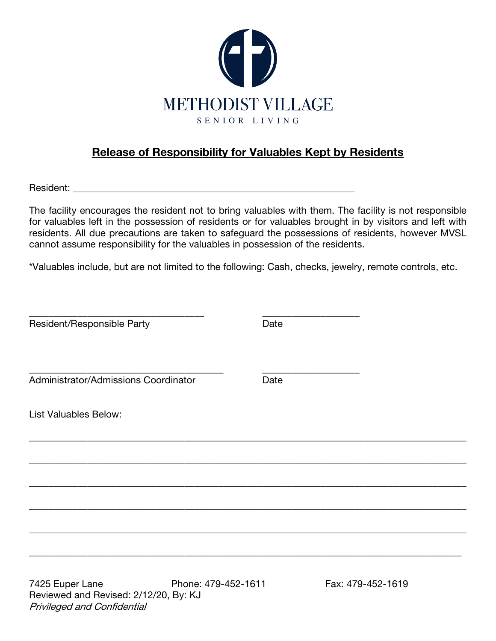

## Release of Responsibility for Valuables Kept by Residents

Resident: \_\_\_\_\_\_\_\_\_\_\_\_\_\_\_\_\_\_\_\_\_\_\_\_\_\_\_\_\_\_\_\_\_\_\_\_\_\_\_\_\_\_\_\_\_\_\_\_\_\_\_\_\_\_\_\_\_\_

The facility encourages the resident not to bring valuables with them. The facility is not responsible for valuables left in the possession of residents or for valuables brought in by visitors and left with residents. All due precautions are taken to safeguard the possessions of residents, however MVSL cannot assume responsibility for the valuables in possession of the residents.

\*Valuables include, but are not limited to the following: Cash, checks, jewelry, remote controls, etc.

| Resident/Responsible Party           | Date |  |
|--------------------------------------|------|--|
| Administrator/Admissions Coordinator | Date |  |
| <b>List Valuables Below:</b>         |      |  |
|                                      |      |  |
|                                      |      |  |
|                                      |      |  |
|                                      |      |  |
|                                      |      |  |

7425 Euper Lane Phone: 479-452-1611 Fax: 479-452-1619 Reviewed and Revised: 2/12/20, By: KJ Privileged and Confidential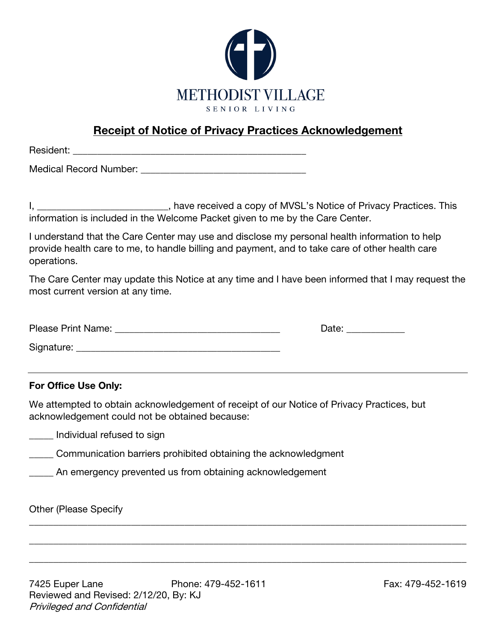

## Receipt of Notice of Privacy Practices Acknowledgement

Resident:

Medical Record Number: **We are all that the end-off of the set of the set of the set of the set of the set of the set of the set of the set of the set of the set of the set of the set of the set of the set of the set of th** 

I, \_\_\_\_\_\_\_\_\_\_\_\_\_\_\_\_\_\_\_\_\_\_\_\_\_\_\_, have received a copy of MVSL's Notice of Privacy Practices. This information is included in the Welcome Packet given to me by the Care Center.

I understand that the Care Center may use and disclose my personal health information to help provide health care to me, to handle billing and payment, and to take care of other health care operations.

The Care Center may update this Notice at any time and I have been informed that I may request the most current version at any time.

| Please Print Name: | Date: |
|--------------------|-------|
| Signature:         |       |

#### For Office Use Only:

We attempted to obtain acknowledgement of receipt of our Notice of Privacy Practices, but acknowledgement could not be obtained because:

\_\_\_\_\_\_\_\_\_\_\_\_\_\_\_\_\_\_\_\_\_\_\_\_\_\_\_\_\_\_\_\_\_\_\_\_\_\_\_\_\_\_\_\_\_\_\_\_\_\_\_\_\_\_\_\_\_\_\_\_\_\_\_\_\_\_\_\_\_\_\_\_\_\_\_\_\_\_\_\_\_\_\_\_\_\_\_\_\_\_

\_\_\_\_\_\_\_\_\_\_\_\_\_\_\_\_\_\_\_\_\_\_\_\_\_\_\_\_\_\_\_\_\_\_\_\_\_\_\_\_\_\_\_\_\_\_\_\_\_\_\_\_\_\_\_\_\_\_\_\_\_\_\_\_\_\_\_\_\_\_\_\_\_\_\_\_\_\_\_\_\_\_\_\_\_\_\_\_\_\_

\_\_\_\_\_\_\_\_\_\_\_\_\_\_\_\_\_\_\_\_\_\_\_\_\_\_\_\_\_\_\_\_\_\_\_\_\_\_\_\_\_\_\_\_\_\_\_\_\_\_\_\_\_\_\_\_\_\_\_\_\_\_\_\_\_\_\_\_\_\_\_\_\_\_\_\_\_\_\_\_\_\_\_\_\_\_\_\_\_\_

**with lindividual refused to sign** 

**Communication barriers prohibited obtaining the acknowledgment** 

An emergency prevented us from obtaining acknowledgement

Other (Please Specify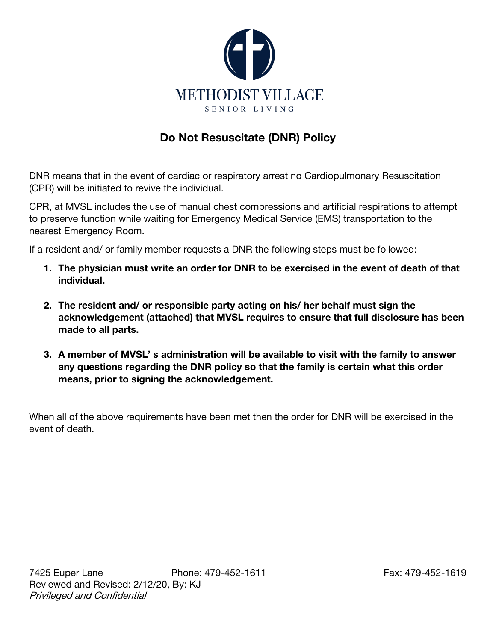

## Do Not Resuscitate (DNR) Policy

DNR means that in the event of cardiac or respiratory arrest no Cardiopulmonary Resuscitation (CPR) will be initiated to revive the individual.

CPR, at MVSL includes the use of manual chest compressions and artificial respirations to attempt to preserve function while waiting for Emergency Medical Service (EMS) transportation to the nearest Emergency Room.

If a resident and/ or family member requests a DNR the following steps must be followed:

- 1. The physician must write an order for DNR to be exercised in the event of death of that individual.
- 2. The resident and/ or responsible party acting on his/ her behalf must sign the acknowledgement (attached) that MVSL requires to ensure that full disclosure has been made to all parts.
- 3. A member of MVSL' s administration will be available to visit with the family to answer any questions regarding the DNR policy so that the family is certain what this order means, prior to signing the acknowledgement.

When all of the above requirements have been met then the order for DNR will be exercised in the event of death.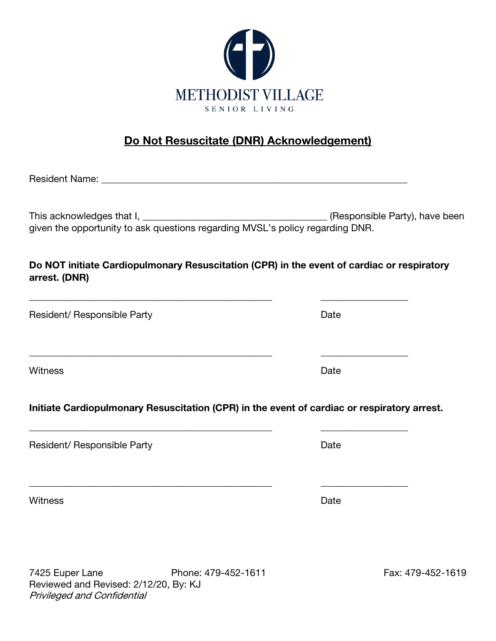

# Do Not Resuscitate (DNR) Acknowledgement)

| Do NOT initiate Cardiopulmonary Resuscitation (CPR) in the event of cardiac or respiratory<br>arrest. (DNR) |      |
|-------------------------------------------------------------------------------------------------------------|------|
| Resident/ Responsible Party                                                                                 | Date |
| <b>Witness</b>                                                                                              | Date |
| Initiate Cardiopulmonary Resuscitation (CPR) in the event of cardiac or respiratory arrest.                 |      |
| Resident/ Responsible Party                                                                                 | Date |
| <b>Witness</b>                                                                                              | Date |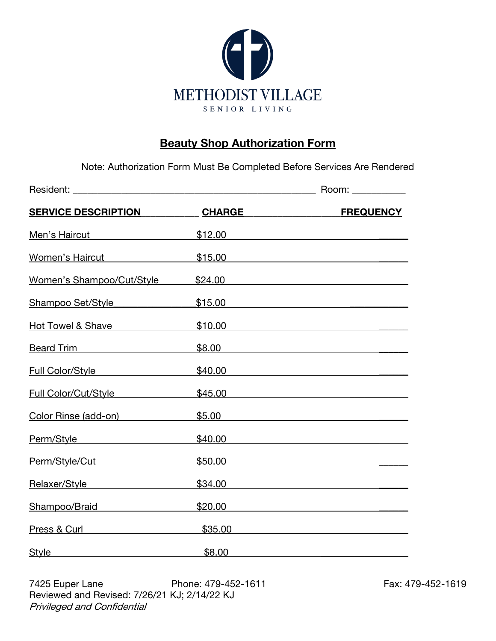

### **Beauty Shop Authorization Form**

Note: Authorization Form Must Be Completed Before Services Are Rendered

|                                                                                                                                                                                                                                     |                            | Room: ___________ |  |  |
|-------------------------------------------------------------------------------------------------------------------------------------------------------------------------------------------------------------------------------------|----------------------------|-------------------|--|--|
| <b>SERVICE DESCRIPTION</b>                                                                                                                                                                                                          | <b>CHARGE Example 2014</b> | <b>FREQUENCY</b>  |  |  |
| Men's Haircut Mentender State Communist Communist Communist Communist Communist Communist Communist Communist Communist Communist Communist Communist Communist Communist Communist Communist Communist Communist Communist Co      |                            | \$12.00           |  |  |
| <u>Women's Haircut \$15.00</u>                                                                                                                                                                                                      |                            |                   |  |  |
| Women's Shampoo/Cut/Style                                                                                                                                                                                                           |                            | \$24.00           |  |  |
| Shampoo Set/Style <b>Shampoo Set/Style</b>                                                                                                                                                                                          |                            | \$15.00           |  |  |
| Hot Towel & Shave North American                                                                                                                                                                                                    |                            | \$10.00           |  |  |
| Beard Trim <b>Beard</b> Trim                                                                                                                                                                                                        |                            | \$8.00            |  |  |
| <u>Full Color/Style [1994]</u>                                                                                                                                                                                                      |                            | \$40.00           |  |  |
| Full Color/Cut/Style                                                                                                                                                                                                                |                            | \$45.00           |  |  |
| Color Rinse (add-on)                                                                                                                                                                                                                |                            | \$5.00            |  |  |
| Perm/Style example and provide a set of the set of the set of the set of the set of the set of the set of the                                                                                                                       |                            | \$40.00           |  |  |
| Perm/Style/Cut <b>Marketer Style</b> And The Market And The Market And The Market And The Market And The Market And The Market And The Market And The Market And The Market And The Market And The Market And The Market And The Ma |                            | \$50.00           |  |  |
| Relaxer/Style expansion and a set of the set of the set of the set of the set of the set of the set of the set o                                                                                                                    |                            | \$34.00           |  |  |
|                                                                                                                                                                                                                                     |                            | \$20.00           |  |  |
| Press & Curl <b>Press &amp; Curl</b>                                                                                                                                                                                                |                            | \$35.00           |  |  |
| <b>Style</b>                                                                                                                                                                                                                        | \$8.00                     |                   |  |  |

7425 Euper Lane Phone: 479-452-1611 Fax: 479-452-1619 Reviewed and Revised: 7/26/21 KJ; 2/14/22 KJ Privileged and Confidential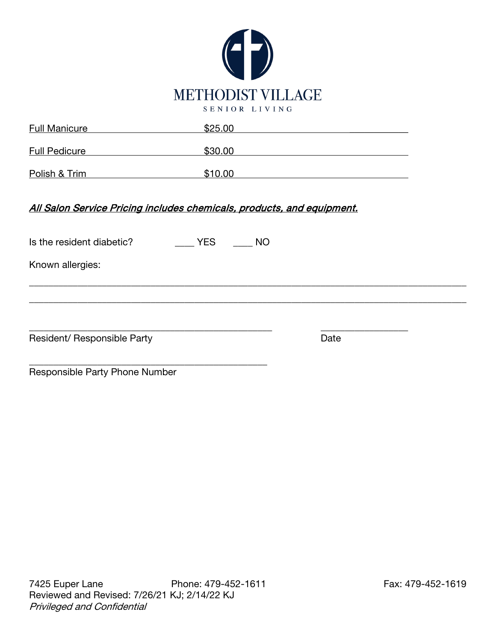

| <b>Full Manicure</b> | \$25.00 |
|----------------------|---------|
| <b>Full Pedicure</b> | \$30.00 |
| Polish & Trim        | \$10.00 |

All Salon Service Pricing includes chemicals, products, and equipment.

| Is the resident diabetic?      | <b>YES</b> | <b>NO</b> |      |  |
|--------------------------------|------------|-----------|------|--|
| Known allergies:               |            |           |      |  |
|                                |            |           |      |  |
|                                |            |           |      |  |
| Resident/ Responsible Party    |            |           | Date |  |
| Responsible Party Phone Number |            |           |      |  |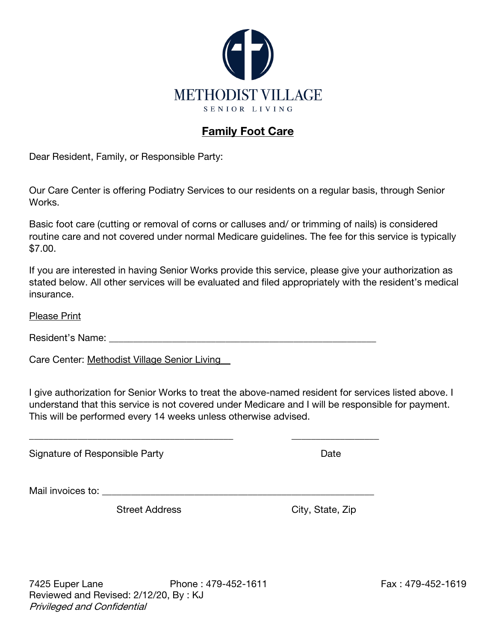

## Family Foot Care

Dear Resident, Family, or Responsible Party:

Our Care Center is offering Podiatry Services to our residents on a regular basis, through Senior Works.

Basic foot care (cutting or removal of corns or calluses and/ or trimming of nails) is considered routine care and not covered under normal Medicare guidelines. The fee for this service is typically \$7.00.

If you are interested in having Senior Works provide this service, please give your authorization as stated below. All other services will be evaluated and filed appropriately with the resident's medical insurance.

Please Print

Resident's Name: <u>and the set of the set of the set of the set of the set of the set of the set of the set of the set of the set of the set of the set of the set of the set of the set of the set of the set of the set of th</u>

\_\_\_\_\_\_\_\_\_\_\_\_\_\_\_\_\_\_\_\_\_\_\_\_\_\_\_\_\_\_\_\_\_\_\_\_\_\_\_\_\_\_ \_\_\_\_\_\_\_\_\_\_\_\_\_\_\_\_\_\_

Care Center: Methodist Village Senior Living\_\_

I give authorization for Senior Works to treat the above-named resident for services listed above. I understand that this service is not covered under Medicare and I will be responsible for payment. This will be performed every 14 weeks unless otherwise advised.

Signature of Responsible Party **Date** Date **Date** 

Mail invoices to: **With an allegeration**  $\overline{a}$ 

Street Address City, State, Zip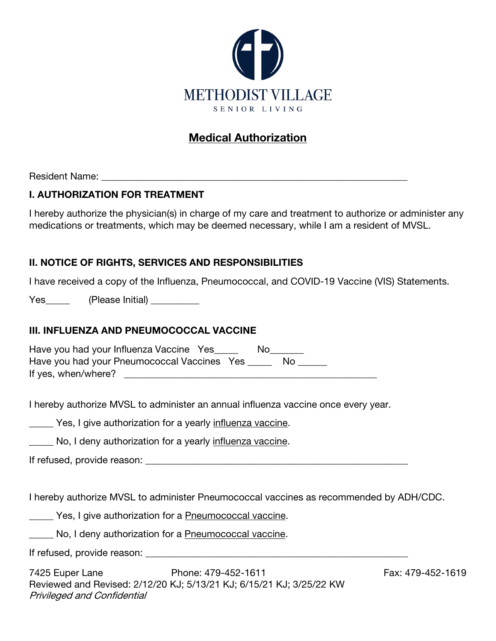

## Medical Authorization

Resident Name: \_\_\_\_\_\_\_\_\_\_\_\_\_\_\_\_\_\_\_\_\_\_\_\_\_\_\_\_\_\_\_\_\_\_\_\_\_\_\_\_\_\_\_\_\_\_\_\_\_\_\_\_\_\_\_\_\_\_\_\_\_\_\_

#### I. AUTHORIZATION FOR TREATMENT

I hereby authorize the physician(s) in charge of my care and treatment to authorize or administer any medications or treatments, which may be deemed necessary, while I am a resident of MVSL.

#### II. NOTICE OF RIGHTS, SERVICES AND RESPONSIBILITIES

I have received a copy of the Influenza, Pneumococcal, and COVID-19 Vaccine (VIS) Statements.

Yes\_\_\_\_\_\_\_ (Please Initial) \_\_\_\_\_\_\_\_\_

#### III. INFLUENZA AND PNEUMOCOCCAL VACCINE

| Have you had your Influenza Vaccine Yes     | Nο |
|---------------------------------------------|----|
| Have you had your Pneumococcal Vaccines Yes |    |
| If yes, when/where?                         |    |

I hereby authorize MVSL to administer an annual influenza vaccine once every year.

Yes, I give authorization for a yearly influenza vaccine.

No, I deny authorization for a yearly influenza vaccine.

If refused, provide reason:  $\blacksquare$ 

I hereby authorize MVSL to administer Pneumococcal vaccines as recommended by ADH/CDC.

**The Yes, I give authorization for a Pneumococcal vaccine.** 

No, I deny authorization for a Pneumococcal vaccine.

If refused, provide reason: \_\_\_\_\_\_\_\_\_\_\_\_\_\_\_\_\_\_\_\_\_\_\_\_\_\_\_\_\_\_\_\_\_\_\_\_\_\_\_\_\_\_\_\_\_\_\_\_\_\_\_\_\_\_

7425 Euper Lane Phone: 479-452-1611 Fax: 479-452-1619 Reviewed and Revised: 2/12/20 KJ; 5/13/21 KJ; 6/15/21 KJ; 3/25/22 KW Privileged and Confidential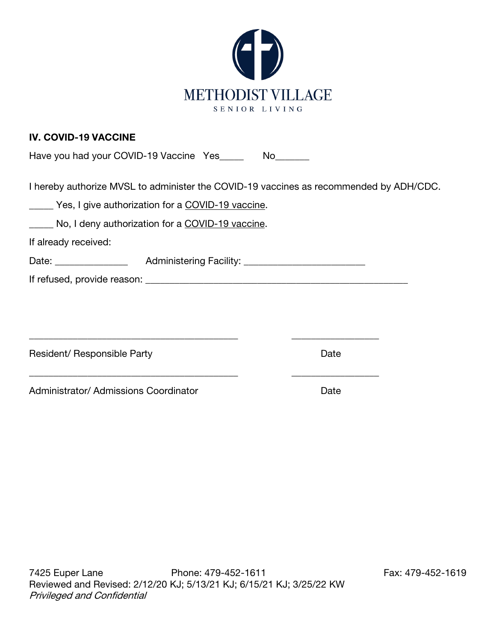

#### IV. COVID-19 VACCINE

|  | Have you had your COVID-19 Vaccine Yes | No. |
|--|----------------------------------------|-----|
|  |                                        |     |

I hereby authorize MVSL to administer the COVID-19 vaccines as recommended by ADH/CDC.

|  |  |  | Yes, I give authorization for a COVID-19 vaccine. |
|--|--|--|---------------------------------------------------|
|--|--|--|---------------------------------------------------|

No, I deny authorization for a COVID-19 vaccine.

If already received:

| Date: | <b>Administering Facility:</b> |
|-------|--------------------------------|
|-------|--------------------------------|

\_\_\_\_\_\_\_\_\_\_\_\_\_\_\_\_\_\_\_\_\_\_\_\_\_\_\_\_\_\_\_\_\_\_\_\_\_\_\_\_\_\_\_ \_\_\_\_\_\_\_\_\_\_\_\_\_\_\_\_\_\_

\_\_\_\_\_\_\_\_\_\_\_\_\_\_\_\_\_\_\_\_\_\_\_\_\_\_\_\_\_\_\_\_\_\_\_\_\_\_\_\_\_\_\_ \_\_\_\_\_\_\_\_\_\_\_\_\_\_\_\_\_\_

If refused, provide reason: \_\_\_\_\_\_\_\_\_\_\_\_\_\_\_\_\_\_\_\_\_\_\_\_\_\_\_\_\_\_\_\_\_\_\_\_\_\_\_\_\_\_\_\_\_\_\_\_\_\_\_\_\_\_

Resident/ Responsible Party **Date** Date **Date** 

Administrator/ Admissions Coordinator **Date** Date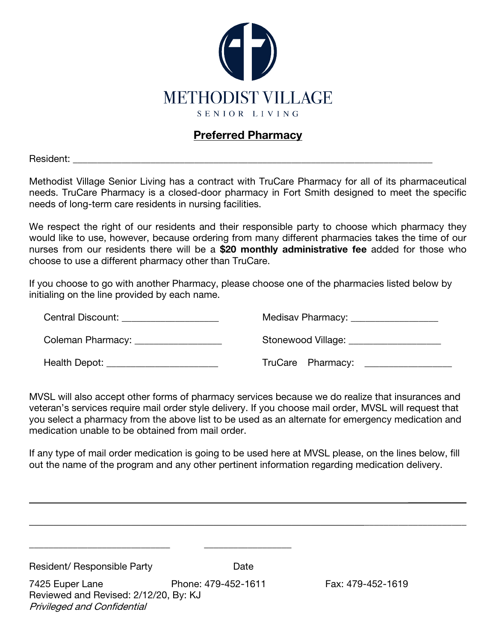

#### Preferred Pharmacy

Resident:

Methodist Village Senior Living has a contract with TruCare Pharmacy for all of its pharmaceutical needs. TruCare Pharmacy is a closed-door pharmacy in Fort Smith designed to meet the specific needs of long-term care residents in nursing facilities.

We respect the right of our residents and their responsible party to choose which pharmacy they would like to use, however, because ordering from many different pharmacies takes the time of our nurses from our residents there will be a \$20 monthly administrative fee added for those who choose to use a different pharmacy other than TruCare.

If you choose to go with another Pharmacy, please choose one of the pharmacies listed below by initialing on the line provided by each name.

| Central Discount: Entry of the Central Discount | Medisav Pharmacy: __________________ |
|-------------------------------------------------|--------------------------------------|
| Coleman Pharmacy: __________________            | Stonewood Village:                   |
| Health Depot:                                   | TruCare Pharmacy:                    |

MVSL will also accept other forms of pharmacy services because we do realize that insurances and veteran's services require mail order style delivery. If you choose mail order, MVSL will request that you select a pharmacy from the above list to be used as an alternate for emergency medication and medication unable to be obtained from mail order.

If any type of mail order medication is going to be used here at MVSL please, on the lines below, fill out the name of the program and any other pertinent information regarding medication delivery.

 $\frac{1}{2}$ 

| Resident/ Responsible Party                                                                    | Date                |                   |
|------------------------------------------------------------------------------------------------|---------------------|-------------------|
| 7425 Euper Lane<br>Reviewed and Revised: 2/12/20, By: KJ<br><b>Privileged and Confidential</b> | Phone: 479-452-1611 | Fax: 479-452-1619 |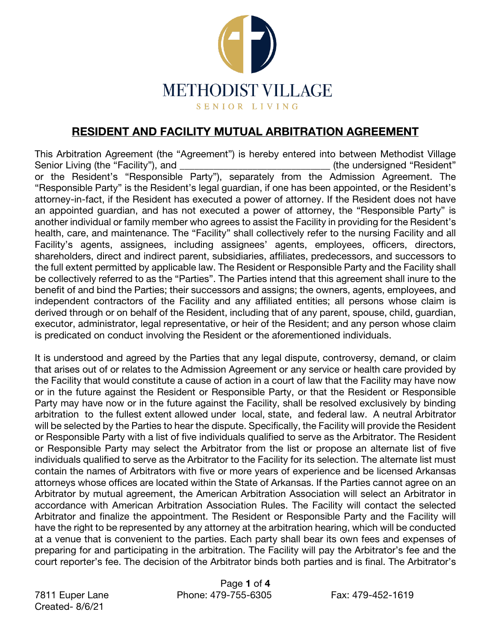

#### RESIDENT AND FACILITY MUTUAL ARBITRATION AGREEMENT

This Arbitration Agreement (the "Agreement") is hereby entered into between Methodist Village Senior Living (the "Facility"), and **Example 20** (the undersigned "Resident" or the Resident's "Responsible Party"), separately from the Admission Agreement. The "Responsible Party" is the Resident's legal guardian, if one has been appointed, or the Resident's attorney-in-fact, if the Resident has executed a power of attorney. If the Resident does not have an appointed guardian, and has not executed a power of attorney, the "Responsible Party" is another individual or family member who agrees to assist the Facility in providing for the Resident's health, care, and maintenance. The "Facility" shall collectively refer to the nursing Facility and all Facility's agents, assignees, including assignees' agents, employees, officers, directors, shareholders, direct and indirect parent, subsidiaries, affiliates, predecessors, and successors to the full extent permitted by applicable law. The Resident or Responsible Party and the Facility shall be collectively referred to as the "Parties". The Parties intend that this agreement shall inure to the benefit of and bind the Parties; their successors and assigns; the owners, agents, employees, and independent contractors of the Facility and any affiliated entities; all persons whose claim is derived through or on behalf of the Resident, including that of any parent, spouse, child, guardian, executor, administrator, legal representative, or heir of the Resident; and any person whose claim is predicated on conduct involving the Resident or the aforementioned individuals.

It is understood and agreed by the Parties that any legal dispute, controversy, demand, or claim that arises out of or relates to the Admission Agreement or any service or health care provided by the Facility that would constitute a cause of action in a court of law that the Facility may have now or in the future against the Resident or Responsible Party, or that the Resident or Responsible Party may have now or in the future against the Facility, shall be resolved exclusively by binding arbitration to the fullest extent allowed under local, state, and federal law. A neutral Arbitrator will be selected by the Parties to hear the dispute. Specifically, the Facility will provide the Resident or Responsible Party with a list of five individuals qualified to serve as the Arbitrator. The Resident or Responsible Party may select the Arbitrator from the list or propose an alternate list of five individuals qualified to serve as the Arbitrator to the Facility for its selection. The alternate list must contain the names of Arbitrators with five or more years of experience and be licensed Arkansas attorneys whose offices are located within the State of Arkansas. If the Parties cannot agree on an Arbitrator by mutual agreement, the American Arbitration Association will select an Arbitrator in accordance with American Arbitration Association Rules. The Facility will contact the selected Arbitrator and finalize the appointment. The Resident or Responsible Party and the Facility will have the right to be represented by any attorney at the arbitration hearing, which will be conducted at a venue that is convenient to the parties. Each party shall bear its own fees and expenses of preparing for and participating in the arbitration. The Facility will pay the Arbitrator's fee and the court reporter's fee. The decision of the Arbitrator binds both parties and is final. The Arbitrator's

Created- 8/6/21

Page 1 of 4 7811 Euper Lane Phone: 479-755-6305 Fax: 479-452-1619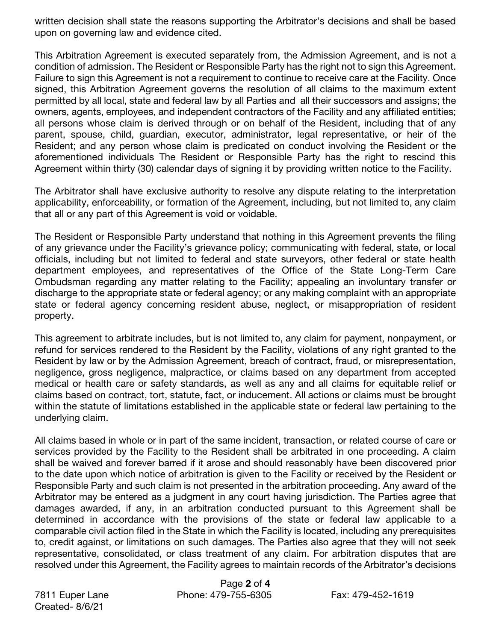written decision shall state the reasons supporting the Arbitrator's decisions and shall be based upon on governing law and evidence cited.

This Arbitration Agreement is executed separately from, the Admission Agreement, and is not a condition of admission. The Resident or Responsible Party has the right not to sign this Agreement. Failure to sign this Agreement is not a requirement to continue to receive care at the Facility. Once signed, this Arbitration Agreement governs the resolution of all claims to the maximum extent permitted by all local, state and federal law by all Parties and all their successors and assigns; the owners, agents, employees, and independent contractors of the Facility and any affiliated entities; all persons whose claim is derived through or on behalf of the Resident, including that of any parent, spouse, child, guardian, executor, administrator, legal representative, or heir of the Resident; and any person whose claim is predicated on conduct involving the Resident or the aforementioned individuals The Resident or Responsible Party has the right to rescind this Agreement within thirty (30) calendar days of signing it by providing written notice to the Facility.

The Arbitrator shall have exclusive authority to resolve any dispute relating to the interpretation applicability, enforceability, or formation of the Agreement, including, but not limited to, any claim that all or any part of this Agreement is void or voidable.

The Resident or Responsible Party understand that nothing in this Agreement prevents the filing of any grievance under the Facility's grievance policy; communicating with federal, state, or local officials, including but not limited to federal and state surveyors, other federal or state health department employees, and representatives of the Office of the State Long-Term Care Ombudsman regarding any matter relating to the Facility; appealing an involuntary transfer or discharge to the appropriate state or federal agency; or any making complaint with an appropriate state or federal agency concerning resident abuse, neglect, or misappropriation of resident property.

This agreement to arbitrate includes, but is not limited to, any claim for payment, nonpayment, or refund for services rendered to the Resident by the Facility, violations of any right granted to the Resident by law or by the Admission Agreement, breach of contract, fraud, or misrepresentation, negligence, gross negligence, malpractice, or claims based on any department from accepted medical or health care or safety standards, as well as any and all claims for equitable relief or claims based on contract, tort, statute, fact, or inducement. All actions or claims must be brought within the statute of limitations established in the applicable state or federal law pertaining to the underlying claim.

All claims based in whole or in part of the same incident, transaction, or related course of care or services provided by the Facility to the Resident shall be arbitrated in one proceeding. A claim shall be waived and forever barred if it arose and should reasonably have been discovered prior to the date upon which notice of arbitration is given to the Facility or received by the Resident or Responsible Party and such claim is not presented in the arbitration proceeding. Any award of the Arbitrator may be entered as a judgment in any court having jurisdiction. The Parties agree that damages awarded, if any, in an arbitration conducted pursuant to this Agreement shall be determined in accordance with the provisions of the state or federal law applicable to a comparable civil action filed in the State in which the Facility is located, including any prerequisites to, credit against, or limitations on such damages. The Parties also agree that they will not seek representative, consolidated, or class treatment of any claim. For arbitration disputes that are resolved under this Agreement, the Facility agrees to maintain records of the Arbitrator's decisions

Created- 8/6/21

Page 2 of 4 7811 Euper Lane Phone: 479-755-6305 Fax: 479-452-1619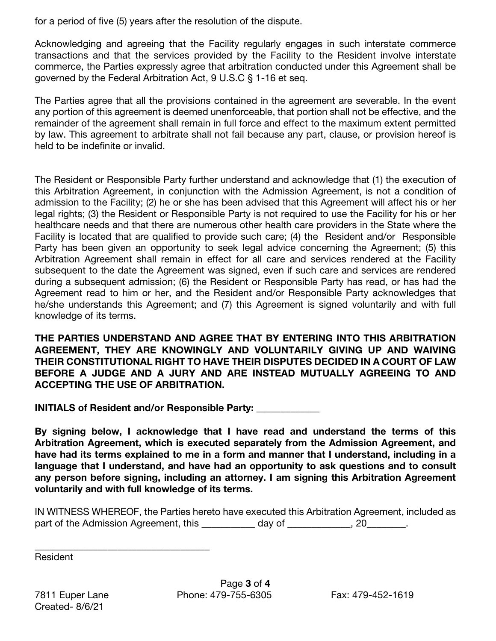for a period of five (5) years after the resolution of the dispute.

Acknowledging and agreeing that the Facility regularly engages in such interstate commerce transactions and that the services provided by the Facility to the Resident involve interstate commerce, the Parties expressly agree that arbitration conducted under this Agreement shall be governed by the Federal Arbitration Act, 9 U.S.C § 1-16 et seq.

The Parties agree that all the provisions contained in the agreement are severable. In the event any portion of this agreement is deemed unenforceable, that portion shall not be effective, and the remainder of the agreement shall remain in full force and effect to the maximum extent permitted by law. This agreement to arbitrate shall not fail because any part, clause, or provision hereof is held to be indefinite or invalid.

The Resident or Responsible Party further understand and acknowledge that (1) the execution of this Arbitration Agreement, in conjunction with the Admission Agreement, is not a condition of admission to the Facility; (2) he or she has been advised that this Agreement will affect his or her legal rights; (3) the Resident or Responsible Party is not required to use the Facility for his or her healthcare needs and that there are numerous other health care providers in the State where the Facility is located that are qualified to provide such care; (4) the Resident and/or Responsible Party has been given an opportunity to seek legal advice concerning the Agreement; (5) this Arbitration Agreement shall remain in effect for all care and services rendered at the Facility subsequent to the date the Agreement was signed, even if such care and services are rendered during a subsequent admission; (6) the Resident or Responsible Party has read, or has had the Agreement read to him or her, and the Resident and/or Responsible Party acknowledges that he/she understands this Agreement; and (7) this Agreement is signed voluntarily and with full knowledge of its terms.

THE PARTIES UNDERSTAND AND AGREE THAT BY ENTERING INTO THIS ARBITRATION AGREEMENT, THEY ARE KNOWINGLY AND VOLUNTARILY GIVING UP AND WAIVING THEIR CONSTITUTIONAL RIGHT TO HAVE THEIR DISPUTES DECIDED IN A COURT OF LAW BEFORE A JUDGE AND A JURY AND ARE INSTEAD MUTUALLY AGREEING TO AND ACCEPTING THE USE OF ARBITRATION.

INITIALS of Resident and/or Responsible Party: \_\_\_\_\_\_\_\_\_\_\_\_\_

By signing below, I acknowledge that I have read and understand the terms of this Arbitration Agreement, which is executed separately from the Admission Agreement, and have had its terms explained to me in a form and manner that I understand, including in a language that I understand, and have had an opportunity to ask questions and to consult any person before signing, including an attorney. I am signing this Arbitration Agreement voluntarily and with full knowledge of its terms.

IN WITNESS WHEREOF, the Parties hereto have executed this Arbitration Agreement, included as part of the Admission Agreement, this \_\_\_\_\_\_\_\_\_\_\_ day of \_\_\_\_\_\_\_\_\_\_\_, 20\_\_\_\_\_\_\_.

Resident

Created- 8/6/21

\_\_\_\_\_\_\_\_\_\_\_\_\_\_\_\_\_\_\_\_\_\_\_\_\_\_\_\_\_\_\_\_\_\_\_\_

Page 3 of 4 7811 Euper Lane Phone: 479-755-6305 Fax: 479-452-1619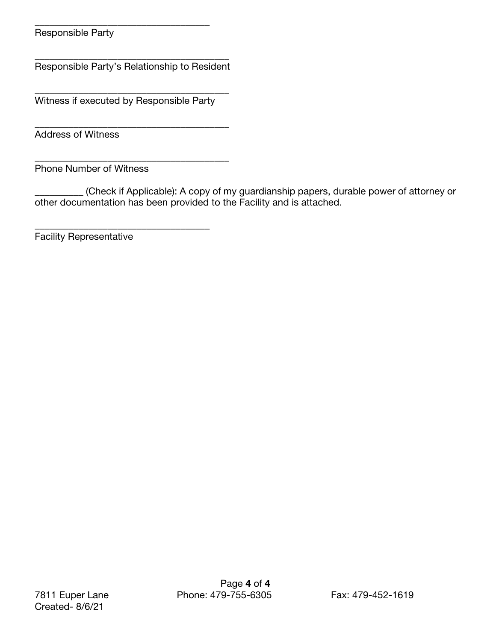Responsible Party

\_\_\_\_\_\_\_\_\_\_\_\_\_\_\_\_\_\_\_\_\_\_\_\_\_\_\_\_\_\_\_\_\_\_\_\_\_\_\_\_ Responsible Party's Relationship to Resident

\_\_\_\_\_\_\_\_\_\_\_\_\_\_\_\_\_\_\_\_\_\_\_\_\_\_\_\_\_\_\_\_\_\_\_\_\_\_\_\_ Witness if executed by Responsible Party

\_\_\_\_\_\_\_\_\_\_\_\_\_\_\_\_\_\_\_\_\_\_\_\_\_\_\_\_\_\_\_\_\_\_\_\_

\_\_\_\_\_\_\_\_\_\_\_\_\_\_\_\_\_\_\_\_\_\_\_\_\_\_\_\_\_\_\_\_\_\_\_\_\_\_\_\_

\_\_\_\_\_\_\_\_\_\_\_\_\_\_\_\_\_\_\_\_\_\_\_\_\_\_\_\_\_\_\_\_\_\_\_\_

Address of Witness

\_\_\_\_\_\_\_\_\_\_\_\_\_\_\_\_\_\_\_\_\_\_\_\_\_\_\_\_\_\_\_\_\_\_\_\_\_\_\_\_ Phone Number of Witness

(Check if Applicable): A copy of my guardianship papers, durable power of attorney or other documentation has been provided to the Facility and is attached.

Facility Representative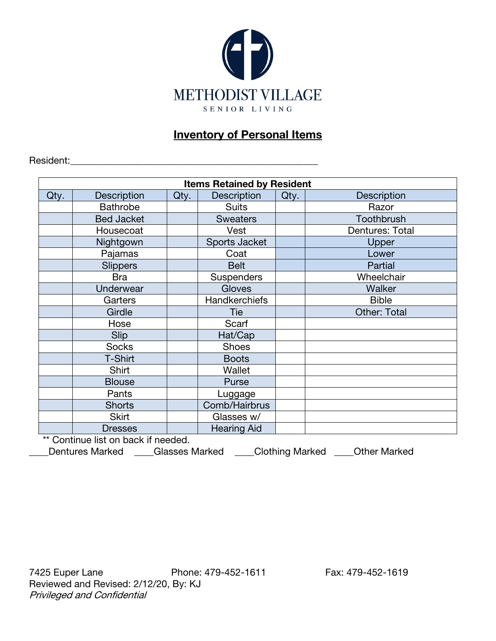

### **Inventory of Personal Items**

Resident:

| <b>Items Retained by Resident</b> |                                    |      |                    |      |                    |  |  |
|-----------------------------------|------------------------------------|------|--------------------|------|--------------------|--|--|
| Qty.                              | <b>Description</b>                 | Qty. | <b>Description</b> | Qty. | <b>Description</b> |  |  |
|                                   | <b>Bathrobe</b>                    |      | <b>Suits</b>       |      | Razor              |  |  |
|                                   | <b>Bed Jacket</b>                  |      | <b>Sweaters</b>    |      | Toothbrush         |  |  |
|                                   | Housecoat                          |      | Vest               |      | Dentures: Total    |  |  |
|                                   | Nightgown                          |      | Sports Jacket      |      | Upper              |  |  |
|                                   | Pajamas                            |      | Coat               |      | Lower              |  |  |
|                                   | <b>Slippers</b>                    |      | <b>Belt</b>        |      | Partial            |  |  |
|                                   | <b>Bra</b>                         |      | <b>Suspenders</b>  |      | Wheelchair         |  |  |
|                                   | Underwear                          |      | Gloves             |      | Walker             |  |  |
|                                   | Garters                            |      | Handkerchiefs      |      | <b>Bible</b>       |  |  |
|                                   | Girdle                             |      | Tie                |      | Other: Total       |  |  |
|                                   | Hose                               |      | Scarf              |      |                    |  |  |
|                                   | Slip                               |      | Hat/Cap            |      |                    |  |  |
|                                   | <b>Socks</b>                       |      | <b>Shoes</b>       |      |                    |  |  |
|                                   | T-Shirt                            |      | <b>Boots</b>       |      |                    |  |  |
|                                   | Shirt                              |      | Wallet             |      |                    |  |  |
|                                   | <b>Blouse</b>                      |      | Purse              |      |                    |  |  |
|                                   | Pants                              |      | Luggage            |      |                    |  |  |
|                                   | <b>Shorts</b>                      |      | Comb/Hairbrus      |      |                    |  |  |
|                                   | <b>Skirt</b>                       |      | Glasses w/         |      |                    |  |  |
|                                   | <b>Dresses</b>                     |      | <b>Hearing Aid</b> |      |                    |  |  |
|                                   | ** Continua list on book if nooded |      |                    |      |                    |  |  |

Continue list on back if needed.

\_\_\_\_Dentures Marked \_\_\_\_Glasses Marked \_\_\_\_Clothing Marked \_\_\_\_Other Marked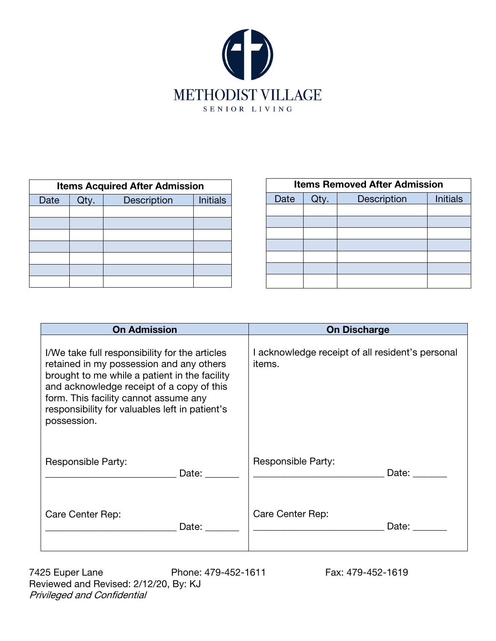

| <b>Items Acquired After Admission</b> |                                               |  |  |  |  |  |
|---------------------------------------|-----------------------------------------------|--|--|--|--|--|
| Date                                  | <b>Initials</b><br><b>Description</b><br>Qty. |  |  |  |  |  |
|                                       |                                               |  |  |  |  |  |
|                                       |                                               |  |  |  |  |  |
|                                       |                                               |  |  |  |  |  |
|                                       |                                               |  |  |  |  |  |
|                                       |                                               |  |  |  |  |  |
|                                       |                                               |  |  |  |  |  |
|                                       |                                               |  |  |  |  |  |

| <b>Items Removed After Admission</b> |      |             |                 |  |  |
|--------------------------------------|------|-------------|-----------------|--|--|
| Date                                 | Qtv. | Description | <b>Initials</b> |  |  |
|                                      |      |             |                 |  |  |
|                                      |      |             |                 |  |  |
|                                      |      |             |                 |  |  |
|                                      |      |             |                 |  |  |
|                                      |      |             |                 |  |  |
|                                      |      |             |                 |  |  |
|                                      |      |             |                 |  |  |

| <b>On Admission</b>                                                                                                                                                                                                                                                                                | <b>On Discharge</b>                                        |  |
|----------------------------------------------------------------------------------------------------------------------------------------------------------------------------------------------------------------------------------------------------------------------------------------------------|------------------------------------------------------------|--|
| I/We take full responsibility for the articles<br>retained in my possession and any others<br>brought to me while a patient in the facility<br>and acknowledge receipt of a copy of this<br>form. This facility cannot assume any<br>responsibility for valuables left in patient's<br>possession. | I acknowledge receipt of all resident's personal<br>items. |  |
| Responsible Party:                                                                                                                                                                                                                                                                                 | Responsible Party:                                         |  |
| Date:                                                                                                                                                                                                                                                                                              | Date:                                                      |  |
| Care Center Rep:                                                                                                                                                                                                                                                                                   | Care Center Rep:                                           |  |
| Date:                                                                                                                                                                                                                                                                                              | Date: Date:                                                |  |

7425 Euper Lane Phone: 479-452-1611 Fax: 479-452-1619 Reviewed and Revised: 2/12/20, By: KJ Privileged and Confidential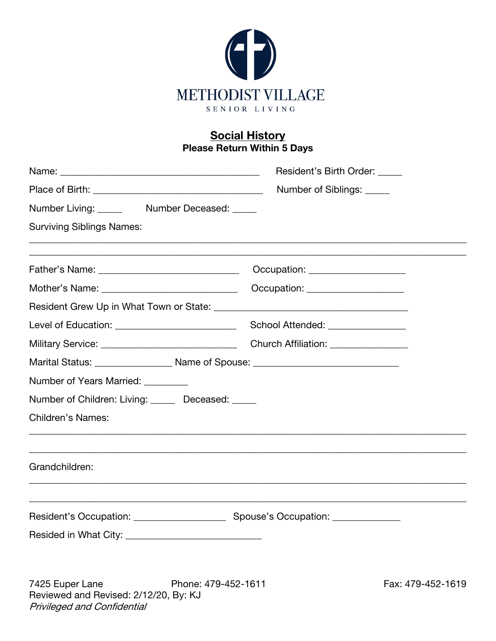

#### **Social History** Please Return Within 5 Days

|                                                                                              | Resident's Birth Order:           |  |  |
|----------------------------------------------------------------------------------------------|-----------------------------------|--|--|
|                                                                                              | Number of Siblings: _____         |  |  |
| Number Living: _____ Number Deceased: _____                                                  |                                   |  |  |
| <b>Surviving Siblings Names:</b>                                                             |                                   |  |  |
|                                                                                              | Occupation: ____________________  |  |  |
|                                                                                              | Occupation: ___________________   |  |  |
|                                                                                              |                                   |  |  |
| Level of Education: _____________________________                                            | School Attended: ________________ |  |  |
|                                                                                              |                                   |  |  |
| Marital Status: <u>___________________</u> Name of Spouse: _________________________________ |                                   |  |  |
| Number of Years Married: ________                                                            |                                   |  |  |
| Number of Children: Living: _____ Deceased: ____                                             |                                   |  |  |
| <b>Children's Names:</b>                                                                     |                                   |  |  |
| Grandchildren:                                                                               |                                   |  |  |
|                                                                                              |                                   |  |  |
|                                                                                              |                                   |  |  |
|                                                                                              |                                   |  |  |

7425 Euper Lane Phone: 479-452-1611 Fax: 479-452-1619 Reviewed and Revised: 2/12/20, By: KJ Privileged and Confidential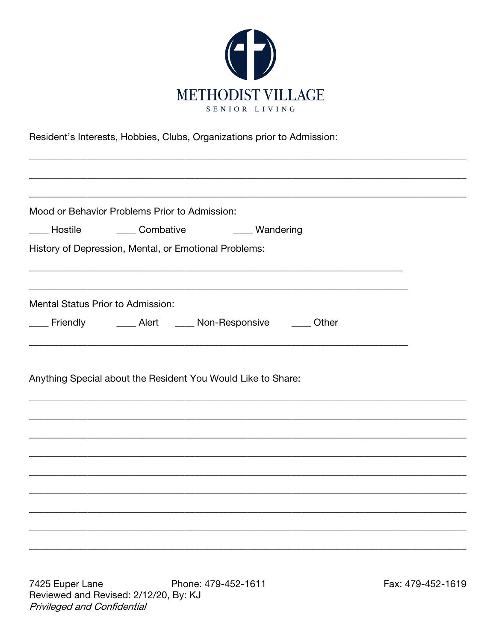

Resident's Interests, Hobbies, Clubs, Organizations prior to Admission:

|                                   | Mood or Behavior Problems Prior to Admission:                  |  |  |
|-----------------------------------|----------------------------------------------------------------|--|--|
|                                   |                                                                |  |  |
|                                   | ____ Hostile _______ Combative _______ Wandering               |  |  |
|                                   | History of Depression, Mental, or Emotional Problems:          |  |  |
|                                   |                                                                |  |  |
| Mental Status Prior to Admission: |                                                                |  |  |
|                                   | ___ Friendly    ____ Alert   ____ Non-Responsive    ____ Other |  |  |
|                                   |                                                                |  |  |
|                                   | Anything Special about the Resident You Would Like to Share:   |  |  |
|                                   |                                                                |  |  |
|                                   |                                                                |  |  |
|                                   |                                                                |  |  |
|                                   |                                                                |  |  |
|                                   |                                                                |  |  |
|                                   |                                                                |  |  |
|                                   |                                                                |  |  |
|                                   |                                                                |  |  |
|                                   |                                                                |  |  |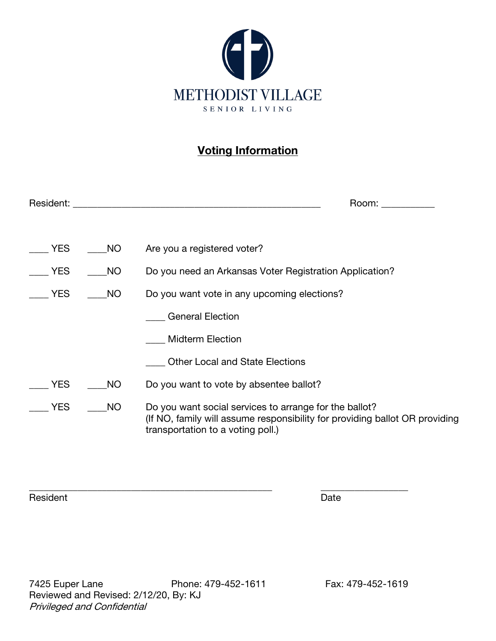

# Voting Information

| Resident:  |           | Room:                                                                                                                                                                      |
|------------|-----------|----------------------------------------------------------------------------------------------------------------------------------------------------------------------------|
|            |           |                                                                                                                                                                            |
| <b>YES</b> | <b>NO</b> | Are you a registered voter?                                                                                                                                                |
| <b>YES</b> | NO        | Do you need an Arkansas Voter Registration Application?                                                                                                                    |
| YES        | <b>NO</b> | Do you want vote in any upcoming elections?                                                                                                                                |
|            |           | <b>General Election</b>                                                                                                                                                    |
|            |           | <b>Midterm Election</b>                                                                                                                                                    |
|            |           | <b>Other Local and State Elections</b>                                                                                                                                     |
| YES        | <b>NO</b> | Do you want to vote by absentee ballot?                                                                                                                                    |
| YES        | <b>NO</b> | Do you want social services to arrange for the ballot?<br>(If NO, family will assume responsibility for providing ballot OR providing<br>transportation to a voting poll.) |

\_\_\_\_\_\_\_\_\_\_\_\_\_\_\_\_\_\_\_\_\_\_\_\_\_\_\_\_\_\_\_\_\_\_\_\_\_\_\_\_\_\_\_\_\_\_\_\_\_\_ \_\_\_\_\_\_\_\_\_\_\_\_\_\_\_\_\_\_

Resident Date Date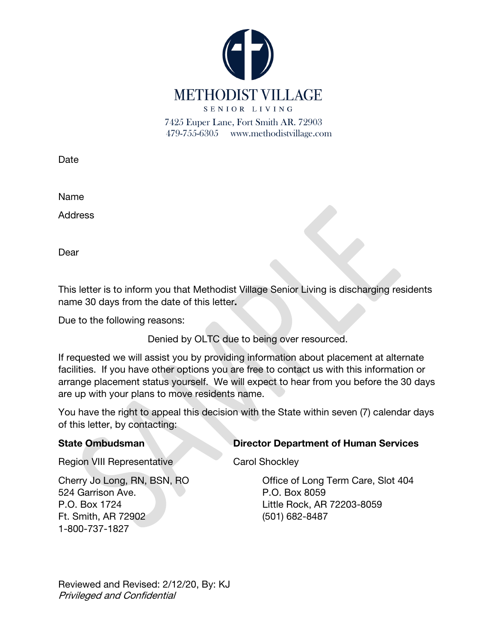

Date

Name

**Address** 

Dear

This letter is to inform you that Methodist Village Senior Living is discharging residents name 30 days from the date of this letter.

Due to the following reasons:

Denied by OLTC due to being over resourced.

If requested we will assist you by providing information about placement at alternate facilities. If you have other options you are free to contact us with this information or arrange placement status yourself. We will expect to hear from you before the 30 days are up with your plans to move residents name.

You have the right to appeal this decision with the State within seven (7) calendar days of this letter, by contacting:

State Ombudsman Director Department of Human Services

Region VIII Representative Carol Shockley

Cherry Jo Long, RN, BSN, RO Office of Long Term Care, Slot 404

524 Garrison Ave. P.O. Box 8059 P.O. Box 1724 Little Rock, AR 72203-8059 Ft. Smith, AR 72902 (501) 682-8487 1-800-737-1827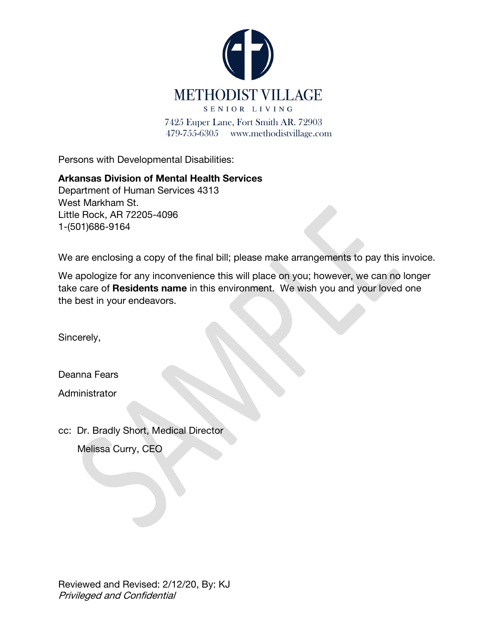

Persons with Developmental Disabilities:

#### Arkansas Division of Mental Health Services

Department of Human Services 4313 West Markham St. Little Rock, AR 72205-4096 1-(501)686-9164

We are enclosing a copy of the final bill; please make arrangements to pay this invoice.

We apologize for any inconvenience this will place on you; however, we can no longer take care of Residents name in this environment. We wish you and your loved one the best in your endeavors.

Sincerely,

Deanna Fears

**Administrator** 

cc: Dr. Bradly Short, Medical Director Melissa Curry, CEO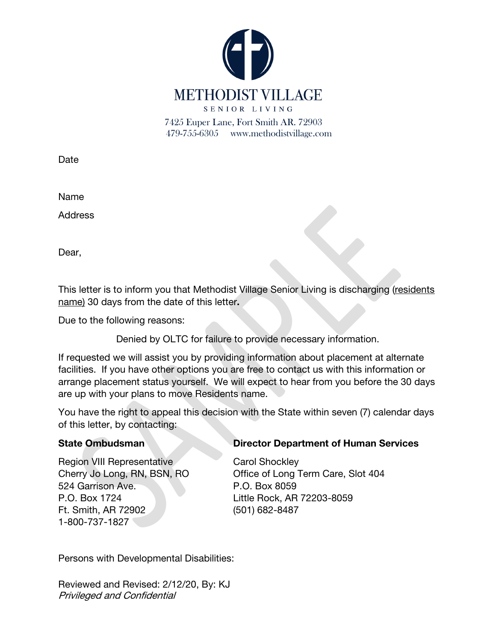

Date

Name

**Address** 

Dear,

This letter is to inform you that Methodist Village Senior Living is discharging (residents name) 30 days from the date of this letter.

Due to the following reasons:

Denied by OLTC for failure to provide necessary information.

If requested we will assist you by providing information about placement at alternate facilities. If you have other options you are free to contact us with this information or arrange placement status yourself. We will expect to hear from you before the 30 days are up with your plans to move Residents name.

You have the right to appeal this decision with the State within seven (7) calendar days of this letter, by contacting:

Region VIII Representative Carol Shockley 524 Garrison Ave. P.O. Box 8059 P.O. Box 1724 Little Rock, AR 72203-8059 Ft. Smith, AR 72902 (501) 682-8487 1-800-737-1827

#### State Ombudsman Director Department of Human Services

Cherry Jo Long, RN, BSN, RO Office of Long Term Care, Slot 404

Persons with Developmental Disabilities: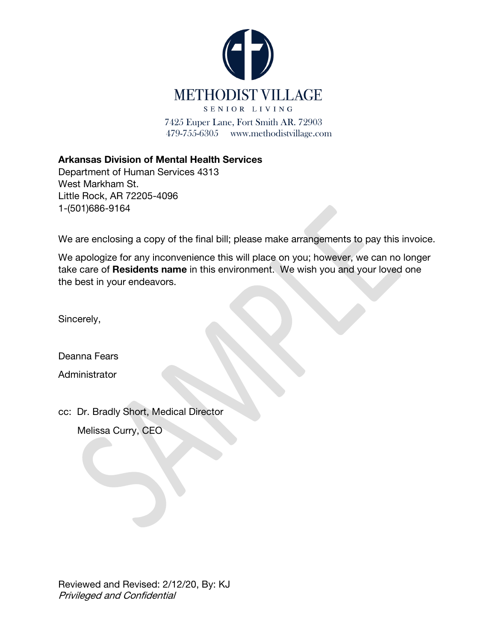

Arkansas Division of Mental Health Services

Department of Human Services 4313 West Markham St. Little Rock, AR 72205-4096 1-(501)686-9164

We are enclosing a copy of the final bill; please make arrangements to pay this invoice.

We apologize for any inconvenience this will place on you; however, we can no longer take care of Residents name in this environment. We wish you and your loved one the best in your endeavors.

Sincerely,

Deanna Fears

**Administrator** 

cc: Dr. Bradly Short, Medical Director

Melissa Curry, CEO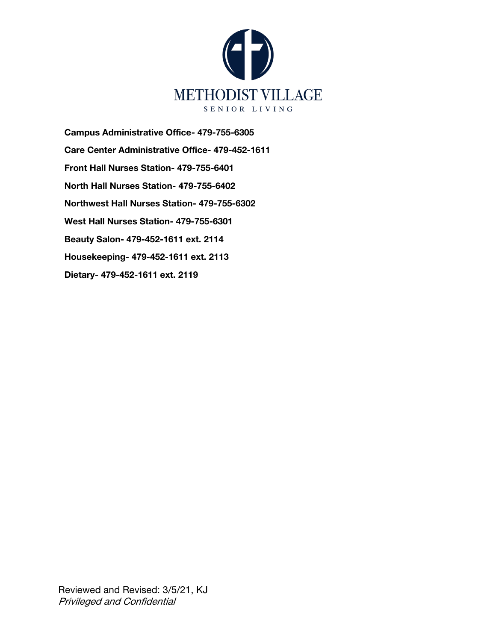

Campus Administrative Office- 479-755-6305 Care Center Administrative Office- 479-452-1611 Front Hall Nurses Station- 479-755-6401 North Hall Nurses Station- 479-755-6402 Northwest Hall Nurses Station- 479-755-6302 West Hall Nurses Station- 479-755-6301 Beauty Salon- 479-452-1611 ext. 2114 Housekeeping- 479-452-1611 ext. 2113 Dietary- 479-452-1611 ext. 2119